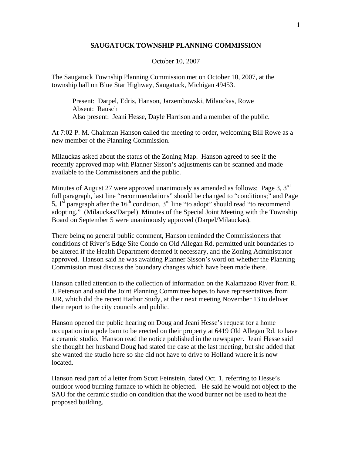## **SAUGATUCK TOWNSHIP PLANNING COMMISSION**

October 10, 2007

The Saugatuck Township Planning Commission met on October 10, 2007, at the township hall on Blue Star Highway, Saugatuck, Michigan 49453.

 Present: Darpel, Edris, Hanson, Jarzembowski, Milauckas, Rowe Absent: Rausch Also present: Jeani Hesse, Dayle Harrison and a member of the public.

At 7:02 P. M. Chairman Hanson called the meeting to order, welcoming Bill Rowe as a new member of the Planning Commission.

Milauckas asked about the status of the Zoning Map. Hanson agreed to see if the recently approved map with Planner Sisson's adjustments can be scanned and made available to the Commissioners and the public.

Minutes of August 27 were approved unanimously as amended as follows: Page 3,  $3<sup>rd</sup>$ full paragraph, last line "recommendations" should be changed to "conditions;" and Page 5,  $1^{st}$  paragraph after the  $16^{th}$  condition,  $3^{rd}$  line "to adopt" should read "to recommend" adopting." (Milauckas/Darpel) Minutes of the Special Joint Meeting with the Township Board on September 5 were unanimously approved (Darpel/Milauckas).

There being no general public comment, Hanson reminded the Commissioners that conditions of River's Edge Site Condo on Old Allegan Rd. permitted unit boundaries to be altered if the Health Department deemed it necessary, and the Zoning Administrator approved. Hanson said he was awaiting Planner Sisson's word on whether the Planning Commission must discuss the boundary changes which have been made there.

Hanson called attention to the collection of information on the Kalamazoo River from R. J. Peterson and said the Joint Planning Committee hopes to have representatives from JJR, which did the recent Harbor Study, at their next meeting November 13 to deliver their report to the city councils and public.

Hanson opened the public hearing on Doug and Jeani Hesse's request for a home occupation in a pole barn to be erected on their property at 6419 Old Allegan Rd. to have a ceramic studio. Hanson read the notice published in the newspaper. Jeani Hesse said she thought her husband Doug had stated the case at the last meeting, but she added that she wanted the studio here so she did not have to drive to Holland where it is now located.

Hanson read part of a letter from Scott Feinstein, dated Oct. 1, referring to Hesse's outdoor wood burning furnace to which he objected. He said he would not object to the SAU for the ceramic studio on condition that the wood burner not be used to heat the proposed building.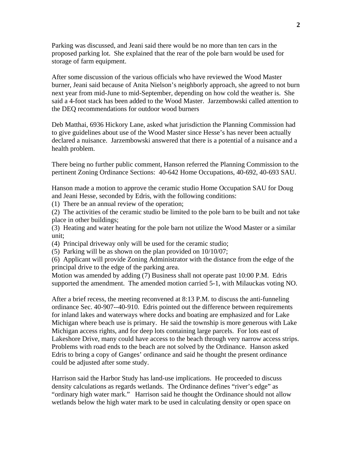Parking was discussed, and Jeani said there would be no more than ten cars in the proposed parking lot. She explained that the rear of the pole barn would be used for storage of farm equipment.

After some discussion of the various officials who have reviewed the Wood Master burner, Jeani said because of Anita Nielson's neighborly approach, she agreed to not burn next year from mid-June to mid-September, depending on how cold the weather is. She said a 4-foot stack has been added to the Wood Master. Jarzembowski called attention to the DEQ recommendations for outdoor wood burners

Deb Matthai, 6936 Hickory Lane, asked what jurisdiction the Planning Commission had to give guidelines about use of the Wood Master since Hesse's has never been actually declared a nuisance. Jarzembowski answered that there is a potential of a nuisance and a health problem.

There being no further public comment, Hanson referred the Planning Commission to the pertinent Zoning Ordinance Sections: 40-642 Home Occupations, 40-692, 40-693 SAU.

Hanson made a motion to approve the ceramic studio Home Occupation SAU for Doug and Jeani Hesse, seconded by Edris, with the following conditions:

(1) There be an annual review of the operation;

(2) The activities of the ceramic studio be limited to the pole barn to be built and not take place in other buildings;

(3) Heating and water heating for the pole barn not utilize the Wood Master or a similar unit;

(4) Principal driveway only will be used for the ceramic studio;

(5) Parking will be as shown on the plan provided on 10/10/07;

(6) Applicant will provide Zoning Administrator with the distance from the edge of the principal drive to the edge of the parking area.

Motion was amended by adding (7) Business shall not operate past 10:00 P.M. Edris supported the amendment. The amended motion carried 5-1, with Milauckas voting NO.

After a brief recess, the meeting reconvened at 8:13 P.M. to discuss the anti-funneling ordinance Sec. 40-907--40-910. Edris pointed out the difference between requirements for inland lakes and waterways where docks and boating are emphasized and for Lake Michigan where beach use is primary. He said the township is more generous with Lake Michigan access rights, and for deep lots containing large parcels. For lots east of Lakeshore Drive, many could have access to the beach through very narrow access strips. Problems with road ends to the beach are not solved by the Ordinance. Hanson asked Edris to bring a copy of Ganges' ordinance and said he thought the present ordinance could be adjusted after some study.

Harrison said the Harbor Study has land-use implications. He proceeded to discuss density calculations as regards wetlands. The Ordinance defines "river's edge" as "ordinary high water mark." Harrison said he thought the Ordinance should not allow wetlands below the high water mark to be used in calculating density or open space on